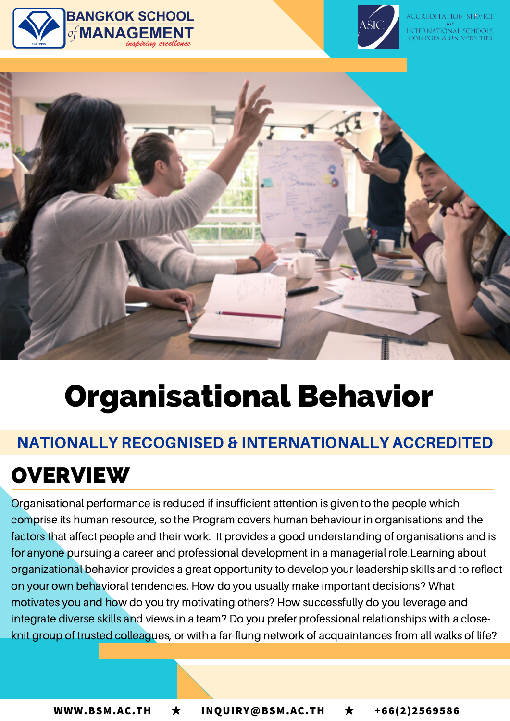





# Organisational Behavior

### NATIONALLY RECOGNISED & INTERNATIONALLY ACCREDITED

### **OVERVIEW**

Organisational performance is reduced if insufficient attention is given to the people which comprise its human resource, so the Program covers human behaviour in organisations and the factors that affect people and their work. It provides a good understanding of organisations and is for anyone pursuing a career and professional development in a managerial role.Learning about organizational behavior provides a great opportunity to develop your leadership skills and to reflect on your own behavioral tendencies. How do you usually make important decisions? What motivates you and how do you try motivating others? How successfully do you leverage and integrate diverse skills and views in a team? Do you prefer professional relationships with a closeknit group of trusted colleagues, or with a far-flung network of acquaintances from all walks of life?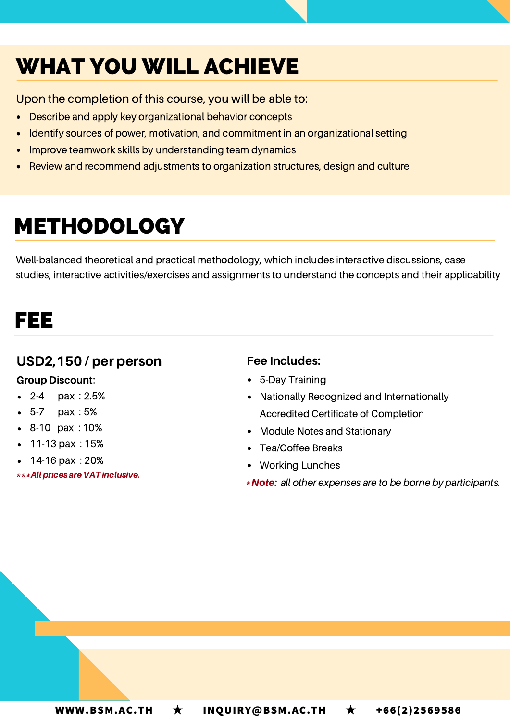# WHAT YOU WILL ACHIEVE

Upon the completion of this course, you will be able to:

- Describe and apply key organizational behavior concepts
- Identify sources of power, motivation, and commitment in an organizational setting
- Improve teamwork skills by understanding team dynamics  $\bullet$
- Review and recommend adjustments to organization structures, design and culture

### METHODOLOGY

Well-balanced theoretical and practical methodology, which includes interactive discussions, case studies, interactive activities/exercises and assignments to understand the concepts and their applicability

### FEE

#### USD2,150 / per person

#### Group Discount:

- 2-4 pax : 2.5%
- 5-7 pax : 5%
- 8-10 pax : 10%
- 11-13 pax : 15%
- 14-16 pax : 20%
- \*\*\*Allprices are VAT inclusive.

#### Fee Includes:

- 5-Day Training
- Nationally Recognized and Internationally Accredited Certificate of Completion
- Module Notes and Stationary
- Tea/Coffee Breaks
- Working Lunches
- \*Note: all other expenses are to be borne by participants.